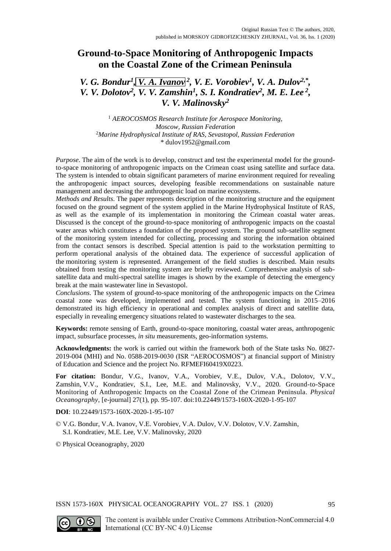# **Ground-to-Space Monitoring of Anthropogenic Impacts on the Coastal Zone of the Crimean Peninsula**

## *V. G. Bondur<sup>1</sup>*, *V. A. Ivanov*<sup>2</sup>, *V. E. Vorobiev<sup>1</sup>, <i>V. A. Dulov*<sup>2,\*</sup>, *V. V. Dolotov<sup>2</sup>, <i>V. V. Zamshin<sup>1</sup>*, *S. I. Kondratiev<sup>2</sup>, <i>M. E. Lee*<sup>2</sup>, *V. V. Malinovsky<sup>2</sup>*

<sup>1</sup> *AEROCOSMOS Research Institute for Aerospace Monitoring, Moscow, Russian Federation* <sup>2</sup>*Marine Hydrophysical Institute of RAS, Sevastopol, Russian Federation* \* dulov1952@gmail.com

*Purpose*. The aim of the work is to develop, construct and test the experimental model for the groundto-space monitoring of anthropogenic impacts on the Crimean coast using satellite and surface data. The system is intended to obtain significant parameters of marine environment required for revealing the anthropogenic impact sources, developing feasible recommendations on sustainable nature management and decreasing the anthropogenic load on marine ecosystems.

*Methods and Results*. The paper represents description of the monitoring structure and the equipment focused on the ground segment of the system applied in the Marine Hydrophysical Institute of RAS, as well as the example of its implementation in monitoring the Crimean coastal water areas. Discussed is the concept of the ground-to-space monitoring of anthropogenic impacts on the coastal water areas which constitutes a foundation of the proposed system. The ground sub-satellite segment of the monitoring system intended for collecting, processing and storing the information obtained from the contact sensors is described. Special attention is paid to the workstation permitting to perform operational analysis of the obtained data. The experience of successful application of the monitoring system is represented. Arrangement of the field studies is described. Main results obtained from testing the monitoring system are briefly reviewed. Comprehensive analysis of subsatellite data and multi-spectral satellite images is shown by the example of detecting the emergency break at the main wastewater line in Sevastopol.

*Conclusions*. The system of ground-to-space monitoring of the anthropogenic impacts on the Crimea coastal zone was developed, implemented and tested. The system functioning in 2015–2016 demonstrated its high efficiency in operational and complex analysis of direct and satellite data, especially in revealing emergency situations related to wastewater discharges to the sea.

**Keywords:** remote sensing of Earth, ground-to-space monitoring, coastal water areas, anthropogenic impact, subsurface processes, *in situ* measurements, geo-information systems.

**Acknowledgments:** the work is carried out within the framework both of the State tasks No. 0827- 2019-004 (MHI) and No. 0588-2019-0030 (ISR "AEROCOSMOS") at financial support of Ministry of Education and Science and the project No. RFMEFI60419X0223.

**For citation:** Bondur, V.G., Ivanov, V.A., Vorobiev, V.E., Dulov, V.A., Dolotov, V.V., Zamshin, V.V., Kondratiev, S.I., Lee, M.E. and Malinovsky, V.V., 2020. Ground-to-Space Monitoring of Anthropogenic Impacts on the Coastal Zone of the Crimean Peninsula. *Physical Oceanography*, [e-journal] 27(1), pp. 95-107. doi:10.22449/1573-160X-2020-1-95-107

**DOI**: 10.22449/1573-160X-2020-1-95-107

© V.G. Bondur, V.A. Ivanov, V.E. Vorobiev, V.A. Dulov, V.V. Dolotov, V.V. Zamshin, S.I. Kondratiev, M.E. Lee, V.V. Malinovsky, 2020

© Physical Oceanography, 2020

ISSN 1573-160X PHYSICAL OCEANOGRAPHY VOL. 27 ISS. 1 (2020) 95

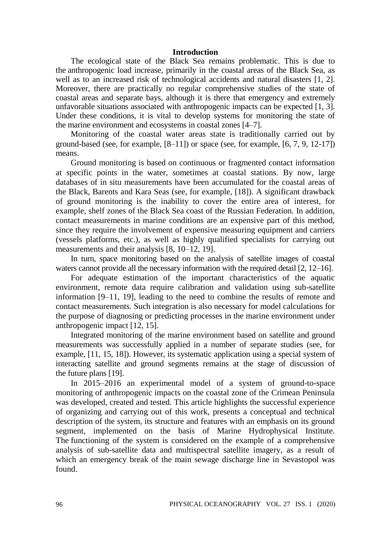#### **Introduction**

The ecological state of the Black Sea remains problematic. This is due to the anthropogenic load increase, primarily in the coastal areas of the Black Sea, as well as to an increased risk of technological accidents and natural disasters [1, 2]. Moreover, there are practically no regular comprehensive studies of the state of coastal areas and separate bays, although it is there that emergency and extremely unfavorable situations associated with anthropogenic impacts can be expected [1, 3]. Under these conditions, it is vital to develop systems for monitoring the state of the marine environment and ecosystems in coastal zones [4–7].

Monitoring of the coastal water areas state is traditionally carried out by ground-based (see, for example,  $[8-11]$ ) or space (see, for example,  $[6, 7, 9, 12-17]$ ) means.

Ground monitoring is based on continuous or fragmented contact information at specific points in the water, sometimes at coastal stations. By now, large databases of in situ measurements have been accumulated for the coastal areas of the Black, Barents and Kara Seas (see, for example, [18]). A significant drawback of ground monitoring is the inability to cover the entire area of interest, for example, shelf zones of the Black Sea coast of the Russian Federation. In addition, contact measurements in marine conditions are an expensive part of this method, since they require the involvement of expensive measuring equipment and carriers (vessels platforms, etc.), as well as highly qualified specialists for carrying out measurements and their analysis [8, 10–12, 19].

In turn, space monitoring based on the analysis of satellite images of coastal waters cannot provide all the necessary information with the required detail [2, 12–16].

For adequate estimation of the important characteristics of the aquatic environment, remote data require calibration and validation using sub-satellite information [9–11, 19], leading to the need to combine the results of remote and contact measurements. Such integration is also necessary for model calculations for the purpose of diagnosing or predicting processes in the marine environment under anthropogenic impact [12, 15].

Integrated monitoring of the marine environment based on satellite and ground measurements was successfully applied in a number of separate studies (see, for example, [11, 15, 18]). However, its systematic application using a special system of interacting satellite and ground segments remains at the stage of discussion of the future plans [19].

In 2015–2016 an experimental model of a system of ground-to-space monitoring of anthropogenic impacts on the coastal zone of the Crimean Peninsula was developed, created and tested. This article highlights the successful experience of organizing and carrying out of this work, presents a conceptual and technical description of the system, its structure and features with an emphasis on its ground segment, implemented on the basis of Marine Hydrophysical Institute. The functioning of the system is considered on the example of a comprehensive analysis of sub-satellite data and multispectral satellite imagery, as a result of which an emergency break of the main sewage discharge line in Sevastopol was found.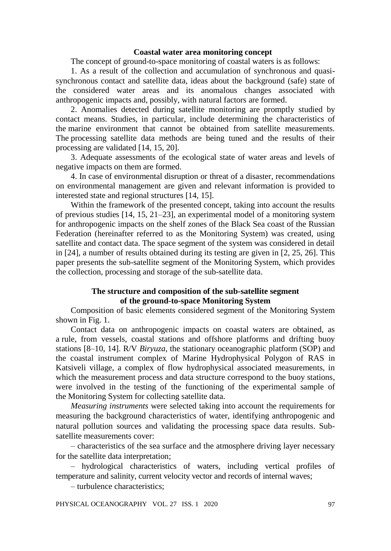### **Coastal water area monitoring concept**

The concept of ground-to-space monitoring of coastal waters is as follows:

1. As a result of the collection and accumulation of synchronous and quasisynchronous contact and satellite data, ideas about the background (safe) state of the considered water areas and its anomalous changes associated with anthropogenic impacts and, possibly, with natural factors are formed.

2. Anomalies detected during satellite monitoring are promptly studied by contact means. Studies, in particular, include determining the characteristics of the marine environment that cannot be obtained from satellite measurements. The processing satellite data methods are being tuned and the results of their processing are validated [14, 15, 20].

3. Adequate assessments of the ecological state of water areas and levels of negative impacts on them are formed.

4. In case of environmental disruption or threat of a disaster, recommendations on environmental management are given and relevant information is provided to interested state and regional structures [14, 15].

Within the framework of the presented concept, taking into account the results of previous studies [14, 15, 21–23], an experimental model of a monitoring system for anthropogenic impacts on the shelf zones of the Black Sea coast of the Russian Federation (hereinafter referred to as the Monitoring System) was created, using satellite and contact data. The space segment of the system was considered in detail in [24], a number of results obtained during its testing are given in [2, 25, 26]. This paper presents the sub-satellite segment of the Monitoring System, which provides the collection, processing and storage of the sub-satellite data.

### **The structure and composition of the sub-satellite segment of the ground-to-space Monitoring System**

Composition of basic elements considered segment of the Monitoring System shown in Fig. 1.

Contact data on anthropogenic impacts on coastal waters are obtained, as a rule, from vessels, coastal stations and offshore platforms and drifting buoy stations [8–10, 14]. R/V *Biryuza*, the stationary oceanographic platform (SOP) and the coastal instrument complex of Marine Hydrophysical Polygon of RAS in Katsiveli village, a complex of flow hydrophysical associated measurements, in which the measurement process and data structure correspond to the buoy stations, were involved in the testing of the functioning of the experimental sample of the Monitoring System for collecting satellite data.

*Measuring instruments* were selected taking into account the requirements for measuring the background characteristics of water, identifying anthropogenic and natural pollution sources and validating the processing space data results. Subsatellite measurements cover:

– characteristics of the sea surface and the atmosphere driving layer necessary for the satellite data interpretation;

– hydrological characteristics of waters, including vertical profiles of temperature and salinity, current velocity vector and records of internal waves;

– turbulence characteristics;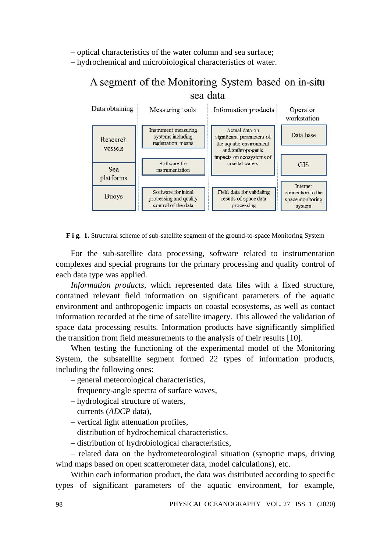– optical characteristics of the water column and sea surface;

– hydrochemical and microbiological characteristics of water.

# A segment of the Monitoring System based on in-situ sea data



**F i g. 1.** Structural scheme of sub-satellite segment of the ground-to-space Monitoring System

For the sub-satellite data processing, software related to instrumentation complexes and special programs for the primary processing and quality control of each data type was applied.

*Information products*, which represented data files with a fixed structure, contained relevant field information on significant parameters of the aquatic environment and anthropogenic impacts on coastal ecosystems, as well as contact information recorded at the time of satellite imagery. This allowed the validation of space data processing results. Information products have significantly simplified the transition from field measurements to the analysis of their results [10].

When testing the functioning of the experimental model of the Monitoring System, the subsatellite segment formed 22 types of information products, including the following ones:

– general meteorological characteristics,

- frequency-angle spectra of surface waves,
- hydrological structure of waters,
- currents (*ADCP* data),
- vertical light attenuation profiles,
- distribution of hydrochemical characteristics,
- distribution of hydrobiological characteristics,

– related data on the hydrometeorological situation (synoptic maps, driving wind maps based on open scatterometer data, model calculations), etc.

Within each information product, the data was distributed according to specific types of significant parameters of the aquatic environment, for example,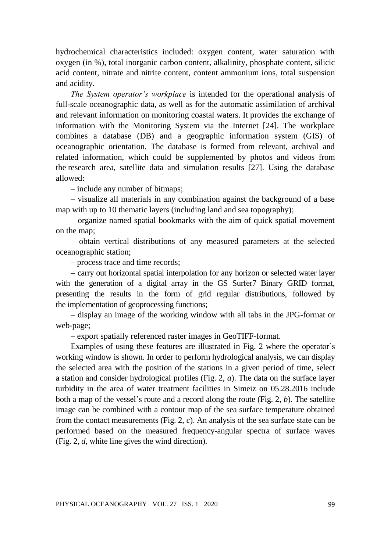hydrochemical characteristics included: oxygen content, water saturation with oxygen (in %), total inorganic carbon content, alkalinity, phosphate content, silicic acid content, nitrate and nitrite content, content ammonium ions, total suspension and acidity.

*The System operator's workplace* is intended for the operational analysis of full-scale oceanographic data, as well as for the automatic assimilation of archival and relevant information on monitoring coastal waters. It provides the exchange of information with the Monitoring System via the Internet [24]. The workplace combines a database (DB) and a geographic information system (GIS) of oceanographic orientation. The database is formed from relevant, archival and related information, which could be supplemented by photos and videos from the research area, satellite data and simulation results [27]. Using the database allowed:

– include any number of bitmaps;

– visualize all materials in any combination against the background of a base map with up to 10 thematic layers (including land and sea topography);

– organize named spatial bookmarks with the aim of quick spatial movement on the map;

– obtain vertical distributions of any measured parameters at the selected oceanographic station;

– process trace and time records;

– carry out horizontal spatial interpolation for any horizon or selected water layer with the generation of a digital array in the GS Surfer7 Binary GRID format, presenting the results in the form of grid regular distributions, followed by the implementation of geoprocessing functions;

– display an image of the working window with all tabs in the JPG-format or web-page;

– export spatially referenced raster images in GeoTIFF-format.

Examples of using these features are illustrated in Fig. 2 where the operator's working window is shown. In order to perform hydrological analysis, we can display the selected area with the position of the stations in a given period of time, select a station and consider hydrological profiles (Fig. 2, *a*). The data on the surface layer turbidity in the area of water treatment facilities in Simeiz on 05.28.2016 include both a map of the vessel's route and a record along the route (Fig. 2, *b*). The satellite image can be combined with a contour map of the sea surface temperature obtained from the contact measurements (Fig. 2, *c*). An analysis of the sea surface state can be performed based on the measured frequency-angular spectra of surface waves (Fig. 2, *d*, white line gives the wind direction).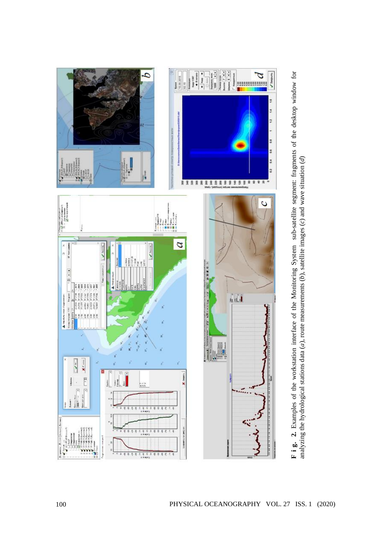

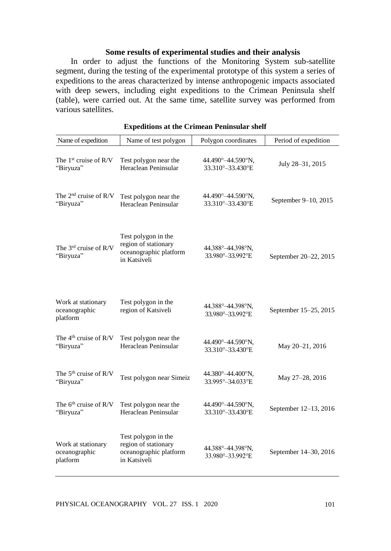### **Some results of experimental studies and their analysis**

In order to adjust the functions of the Monitoring System sub-satellite segment, during the testing of the experimental prototype of this system a series of expeditions to the areas characterized by intense anthropogenic impacts associated with deep sewers, including eight expeditions to the Crimean Peninsula shelf (table), were carried out. At the same time, satellite survey was performed from various satellites.

| Name of expedition                              | Name of test polygon                                                                  | Polygon coordinates                      | Period of expedition  |
|-------------------------------------------------|---------------------------------------------------------------------------------------|------------------------------------------|-----------------------|
| The 1 <sup>st</sup> cruise of R/V<br>"Biryuza"  | Test polygon near the<br>Heraclean Peninsular                                         | 44.490°-44.590°N,<br>33.310°-33.430°E    | July 28-31, 2015      |
| The $2nd$ cruise of R/V<br>"Biryuza"            | Test polygon near the<br>Heraclean Peninsular                                         | 44.490°-44.590°N,<br>33.310° - 33.430° E | September 9-10, 2015  |
| The 3 <sup>rd</sup> cruise of R/V<br>"Biryuza"  | Test polygon in the<br>region of stationary<br>oceanographic platform<br>in Katsiveli | 44.388°-44.398°N,<br>33.980°-33.992°E    | September 20-22, 2015 |
| Work at stationary<br>oceanographic<br>platform | Test polygon in the<br>region of Katsiveli                                            | 44.388°-44.398°N,<br>33.980°-33.992°E    | September 15-25, 2015 |
| The $4th$ cruise of R/V<br>"Biryuza"            | Test polygon near the<br>Heraclean Peninsular                                         | 44.490°-44.590°N,<br>33.310°-33.430°E    | May 20-21, 2016       |
| The 5 <sup>th</sup> cruise of R/V<br>"Biryuza"  | Test polygon near Simeiz                                                              | 44.380°-44.400°N,<br>33.995°-34.033°E    | May 27-28, 2016       |
| The $6th$ cruise of R/V<br>"Biryuza"            | Test polygon near the<br>Heraclean Peninsular                                         | 44.490° - 44.590°N,<br>33.310°-33.430°E  | September 12-13, 2016 |
| Work at stationary<br>oceanographic<br>platform | Test polygon in the<br>region of stationary<br>oceanographic platform<br>in Katsiveli | 44.388°-44.398°N,<br>33.980°-33.992°E    | September 14-30, 2016 |

| <b>Expeditions at the Crimean Peninsular shelf</b> |
|----------------------------------------------------|
|----------------------------------------------------|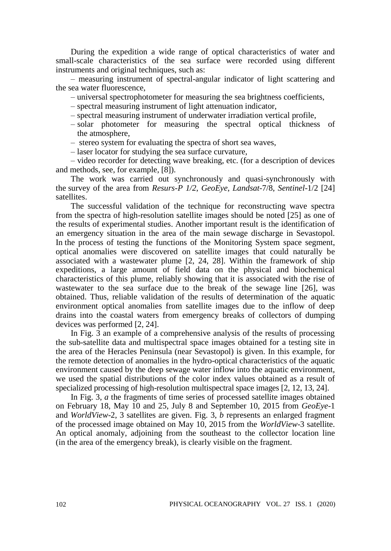During the expedition a wide range of optical characteristics of water and small-scale characteristics of the sea surface were recorded using different instruments and original techniques, such as:

– measuring instrument of spectral-angular indicator of light scattering and the sea water fluorescence,

– universal spectrophotometer for measuring the sea brightness coefficients,

- spectral measuring instrument of light attenuation indicator,
- spectral measuring instrument of underwater irradiation vertical profile,
- solar photometer for measuring the spectral optical thickness of the atmosphere,
- stereo system for evaluating the spectra of short sea waves,
- laser locator for studying the sea surface curvature,

– video recorder for detecting wave breaking, etc. (for a description of devices and methods, see, for example, [8]).

The work was carried out synchronously and quasi-synchronously with the survey of the area from *Resurs-P 1/2*, *GeoEye*, *Landsat*-7/8, *Sentinel*-1/2 [24] satellites.

The successful validation of the technique for reconstructing wave spectra from the spectra of high-resolution satellite images should be noted [25] as one of the results of experimental studies. Another important result is the identification of an emergency situation in the area of the main sewage discharge in Sevastopol. In the process of testing the functions of the Monitoring System space segment, optical anomalies were discovered on satellite images that could naturally be associated with a wastewater plume [2, 24, 28]. Within the framework of ship expeditions, a large amount of field data on the physical and biochemical characteristics of this plume, reliably showing that it is associated with the rise of wastewater to the sea surface due to the break of the sewage line [26], was obtained. Thus, reliable validation of the results of determination of the aquatic environment optical anomalies from satellite images due to the inflow of deep drains into the coastal waters from emergency breaks of collectors of dumping devices was performed [2, 24].

In Fig. 3 an example of a comprehensive analysis of the results of processing the sub-satellite data and multispectral space images obtained for a testing site in the area of the Heracles Peninsula (near Sevastopol) is given. In this example, for the remote detection of anomalies in the hydro-optical characteristics of the aquatic environment caused by the deep sewage water inflow into the aquatic environment, we used the spatial distributions of the color index values obtained as a result of specialized processing of high-resolution multispectral space images [2, 12, 13, 24].

In Fig. 3, *a* the fragments of time series of processed satellite images obtained on February 18, May 10 and 25, July 8 and September 10, 2015 from *GeoEye-*1 and *WorldView*-2, 3 satellites are given. Fig. 3, *b* represents an enlarged fragment of the processed image obtained on May 10, 2015 from the *WorldView*-3 satellite. An optical anomaly, adjoining from the southeast to the collector location line (in the area of the emergency break), is clearly visible on the fragment.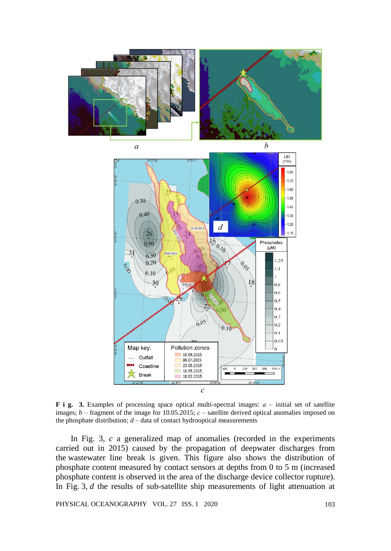

**F i g. 3.** Examples of processing space optical multi-spectral images: *а* – initial set of satellite images;  $b$  – fragment of the image for 10.05.2015;  $c$  – satellite derived optical anomalies imposed on the phosphate distribution;  $d$  – data of contact hydrooptical measurements

In Fig. 3, *c* a generalized map of anomalies (recorded in the experiments carried out in 2015) caused by the propagation of deepwater discharges from the wastewater line break is given. This figure also shows the distribution of phosphate content measured by contact sensors at depths from 0 to 5 m (increased phosphate content is observed in the area of the discharge device collector rupture). In Fig. 3, *d* the results of sub-satellite ship measurements of light attenuation at

PHYSICAL OCEANOGRAPHY VOL. 27 ISS. 1 2020 103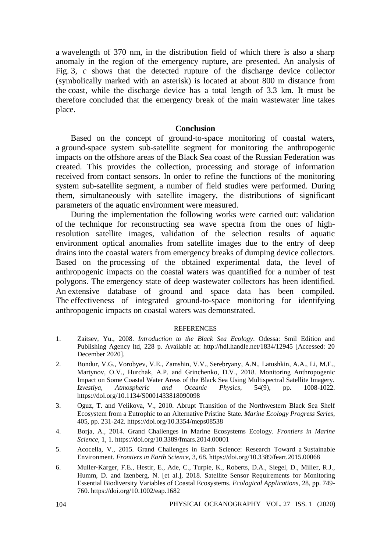a wavelength of 370 nm, in the distribution field of which there is also a sharp anomaly in the region of the emergency rupture, are presented. An analysis of Fig. 3, *c* shows that the detected rupture of the discharge device collector (symbolically marked with an asterisk) is located at about 800 m distance from the coast, while the discharge device has a total length of 3.3 km. It must be therefore concluded that the emergency break of the main wastewater line takes place.

#### **Conclusion**

Based on the concept of ground-to-space monitoring of coastal waters, a ground-space system sub-satellite segment for monitoring the anthropogenic impacts on the offshore areas of the Black Sea coast of the Russian Federation was created. This provides the collection, processing and storage of information received from contact sensors. In order to refine the functions of the monitoring system sub-satellite segment, a number of field studies were performed. During them, simultaneously with satellite imagery, the distributions of significant parameters of the aquatic environment were measured.

During the implementation the following works were carried out: validation of the technique for reconstructing sea wave spectra from the ones of highresolution satellite images, validation of the selection results of aquatic environment optical anomalies from satellite images due to the entry of deep drains into the coastal waters from emergency breaks of dumping device collectors. Based on the processing of the obtained experimental data, the level of anthropogenic impacts on the coastal waters was quantified for a number of test polygons. The emergency state of deep wastewater collectors has been identified. An extensive database of ground and space data has been compiled. The effectiveness of integrated ground-to-space monitoring for identifying anthropogenic impacts on coastal waters was demonstrated.

#### **REFERENCES**

- 1. Zaitsev, Yu., 2008. *Introduction to the Black Sea Ecology*. Odessa: Smil Edition and Publishing Agency ltd, 228 p. Available at: http://hdl.handle.net/1834/12945 [Accessed: 20 December 2020].
- 2. Bondur, V.G., Vorobyev, V.E., Zamshin, V.V., Serebryany, A.N., Latushkin, A.A., Li, M.E., Martynov, O.V., Hurchak, A.P. and Grinchenko, D.V., 2018. Monitoring Anthropogenic Impact on Some Coastal Water Areas of the Black Sea Using Multispectral Satellite Imagery. *Izvestiya, Atmospheric and Oceanic Physics*, 54(9), pp. 1008-1022. https://doi.org/10.1134/S0001433818090098
- 3. Oguz, T. and Velikova, V., 2010. Abrupt Transition of the Northwestern Black Sea Shelf Ecosystem from a Eutrophic to an Alternative Pristine State. *Marine Ecology Progress Series*, 405, pp. 231-242. https://doi.org/10.3354/meps08538
- 4. Borja, A., 2014. Grand Challenges in Marine Ecosystems Ecology. *Frontiers in Marine Science*, 1, 1. https://doi.org/10.3389/fmars.2014.00001
- 5. Acocella, V., 2015. Grand Challenges in Earth Science: Research Toward a Sustainable Environment. *Frontiers in Earth Science*, 3, 68. https://doi.org/10.3389/feart.2015.00068
- 6. Muller‐Karger, F.E., Hestir, E., Ade, C., Turpie, K., Roberts, D.A., Siegel, D., Miller, R.J., Humm, D. and Izenberg, N. [et al.], 2018. Satellite Sensor Requirements for Monitoring Essential Biodiversity Variables of Coastal Ecosystems. *Ecological Applications*, 28, pp. 749- 760. https://doi.org/10.1002/eap.1682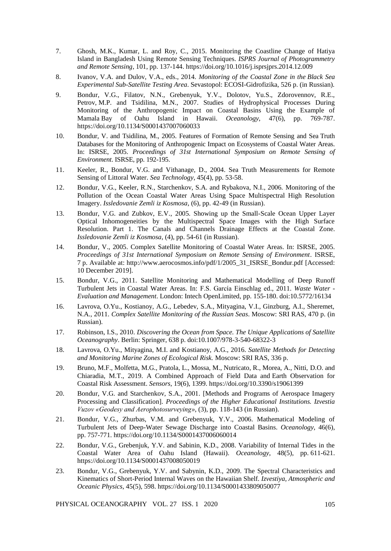- 7. Ghosh, M.K., Kumar, L. and Roy, C., 2015. Monitoring the Coastline Change of Hatiya Island in Bangladesh Using Remote Sensing Techniques. *ISPRS Journal of Photogrammetry and Remote Sensing*, 101, pp. 137-144. https://doi.org/10.1016/j.isprsjprs.2014.12.009
- 8. Ivanov, V.A. and Dulov, V.A., eds., 2014. *Monitoring of the Coastal Zone in the Black Sea Experimental Sub-Satellite Testing Area*. Sevastopol: ECOSI-Gidrofizika, 526 p. (in Russian).
- 9. Bondur, V.G., Filatov, N.N., Grebenyuk, Y.V., Dolotov, Yu.S., Zdorovennov, R.E., Petrov, M.P. and Tsidilina, M.N., 2007. Studies of Hydrophysical Processes During Monitoring of the Anthropogenic Impact on Coastal Basins Using the Example of Mamala Bay of Oahu Island in Hawaii. *Oceanology*, 47(6), pp. 769-787. https://doi.org/10.1134/S0001437007060033
- 10. Bondur, V. and Tsidilina, M., 2005. Features of Formation of Remote Sensing and Sea Truth Databases for the Monitoring of Anthropogenic Impact on Ecosystems of Coastal Water Areas. In: ISRSE, 2005. *Proceedings of 31st International Symposium on Remote Sensing of Environment*. ISRSE, pp. 192-195.
- 11. Keeler, R., Bondur, V.G. and Vithanage, D., 2004. Sea Truth Measurements for Remote Sensing of Littoral Water. *Sea Technology*, 45(4), pp. 53-58.
- 12. Bondur, V.G., Keeler, R.N., Starchenkov, S.A. and Rybakova, N.I., 2006. Monitoring of the Pollution of the Ocean Coastal Water Areas Using Space Multispectral High Resolution Imagery. *Issledovanie Zemli iz Kosmosa*, (6), pp. 42-49 (in Russian).
- 13. Bondur, V.G. and Zubkov, E.V., 2005. Showing up the Small-Scale Ocean Upper Layer Optical Inhomogeneities by the Multispectral Space Images with the High Surface Resolution. Part 1. The Canals and Channels Drainage Effects at the Coastal Zone. *Issledovanie Zemli iz Kosmosa*, (4), pp. 54-61 (in Russian).
- 14. Bondur, V., 2005. Complex Satellite Monitoring of Coastal Water Areas. In: ISRSE, 2005. *Proceedings of 31st International Symposium on Remote Sensing of Environment*. ISRSE, 7 p. Available at: http://www.aerocosmos.info/pdf/1/2005\_31\_ISRSE\_Bondur.pdf [Accessed: 10 December 2019].
- 15. Bondur, V.G., 2011. Satellite Monitoring and Mathematical Modelling of Deep Runoff Turbulent Jets in Coastal Water Areas. In: F.S. García Einschlag ed., 2011. *Waste Water - Evaluation and Management*. London: Intech OpenLimited, pp. 155-180. doi:10.5772/16134
- 16. Lavrova, O.Yu., Kostianoy, A.G., Lebedev, S.A., Mityagina, V.I., Ginzburg, A.I., Sheremet, N.A., 2011. *Complex Satellite Monitoring of the Russian Seas*. Moscow: SRI RAS, 470 p. (in Russian).
- 17. Robinson, I.S., 2010. *Discovering the Ocean from Space. The Unique Applications of Satellite Oceanography*. Berlin: Springer, 638 p. doi:10.1007/978-3-540-68322-3
- 18. Lavrova, O.Yu., Mityagina, M.I. and Kostianoy, A.G., 2016. *Satellite Methods for Detecting and Monitoring Marine Zones of Ecological Risk.* Moscow: SRI RAS, 336 p.
- 19. Bruno, M.F., Molfetta, M.G., Pratola, L., Mossa, M., Nutricato, R., Morea, A., Nitti, D.O. and Chiaradia, M.T., 2019. A Combined Approach of Field Data and Earth Observation for Coastal Risk Assessment. *Sensors*, 19(6), 1399. https://doi.org/10.3390/s19061399
- 20. Bondur, V.G. and Starchenkov, S.A., 2001. [Methods and Programs of Aerospace Imagery Processing and Classification]. *Proceedings of the Higher Educational Institutions. Izvestia Vuzov «Geodesy and Aerophotosurveying»*, (3), pp. 118-143 (in Russian).
- 21. Bondur, V.G., Zhurbas, V.M. and Grebenyuk, Y.V., 2006. Mathematical Modeling of Turbulent Jets of Deep-Water Sewage Discharge into Coastal Basins. *Oceanology*, 46(6), pp. 757-771. https://doi.org/10.1134/S0001437006060014
- 22. Bondur, V.G., Grebenjuk, Y.V. and Sabinin, K.D., 2008. Variability of Internal Tides in the Coastal Water Area of Oahu Island (Hawaii). *Oceanology*, 48(5), pp. 611-621. https://doi.org/10.1134/S0001437008050019
- 23. Bondur, V.G., Grebenyuk, Y.V. and Sabynin, K.D., 2009. The Spectral Characteristics and Kinematics of Short-Period Internal Waves on the Hawaiian Shelf. *Izvestiya, Atmospheric and Oceanic Physics*, 45(5), 598. https://doi.org/10.1134/S0001433809050077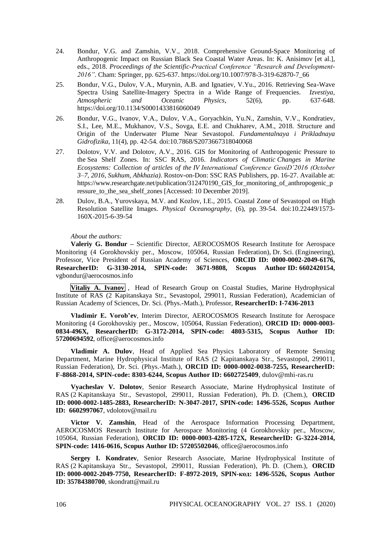- 24. Bondur, V.G. and Zamshin, V.V., 2018. Comprehensive Ground-Space Monitoring of Anthropogenic Impact on Russian Black Sea Coastal Water Areas. In: K. Anisimov [et al.], eds., 2018. *Proceedings of the Scientific-Practical Conference "Research and Development-2016"*. Cham: Springer, pp. 625-637. https://doi.org/10.1007/978-3-319-62870-7\_66
- 25. Bondur, V.G., Dulov, V.A., Murynin, A.B. and Ignatiev, V.Yu., 2016. Retrieving Sea-Wave Spectra Using Satellite-Imagery Spectra in a Wide Range of Frequencies. *Izvestiya, Atmospheric and Oceanic Physics*, 52(6), pp. 637-648. https://doi.org/10.1134/S0001433816060049
- 26. Bondur, V.G., Ivanov, V.A., Dulov, V.A., Goryachkin, Yu.N., Zamshin, V.V., Kondratiev, S.I., Lee, M.E., Mukhanov, V.S., Sovga, E.E. and Chukharev, A.M., 2018. Structure and Origin of the Underwater Plume Near Sevastopol. *Fundamentalnaya i Prikladnaya Gidrofizika*, 11(4), pp. 42-54. doi:10.7868/S2073667318040068
- 27. Dolotov, V.V. and Dolotov, A.V., 2016. GIS for Monitoring of Anthropogenic Pressure to the Sea Shelf Zones. In: SSC RAS, 2016. *Indicators of Climatic Changes in Marine Ecosystems: Collection of articles of the IV International Conference GeoiD'2016 (October 3–7, 2016, Sukhum, Abkhazia)*. Rostov-on-Don: SSC RAS Publishers, pp. 16-27. Available at: https://www.researchgate.net/publication/312470190\_GIS\_for\_monitoring\_of\_anthropogenic\_p ressure to the sea shelf zones [Accessed: 10 December 2019].
- 28. Dulov, B.A., Yurovskaya, M.V. and Kozlov, I.E., 2015. Coastal Zone of Sevastopol on High Resolution Satellite Images. *Physical Oceanography*, (6), pp. 39-54. doi:10.22449/1573- 160X-2015-6-39-54

#### *About the authors:*

**Valeriy G. Bondur –** Scientific Director, AEROCOSMOS Research Institute for Aerospace Monitoring (4 Gorokhovskiy per., Moscow, 105064, Russian Federation), Dr. Sci. (Engineering), Professor, Vice President of Russian Academy of Sciences, **ORCID ID: 0000-0002-2049-6176, ResearcherID: G-3130-2014, SPIN-code: 3671-9808, Scopus Author ID: 6602420154,** vgbondur@aerocosmos.info

**Vitaliy A. Ivanov** , Head of Research Group on Coastal Studies, Marine Hydrophysical Institute of RAS (2 Kapitanskaya Str., Sevastopol, 299011, Russian Federation), Academician of Russian Academy of Sciences, Dr. Sci. (Phys.-Math.), Professor, **ResearcherID: I-7436-2013**

**Vladimir E. Vorob'ev**, Interim Director, AEROCOSMOS Research Institute for Aerospace Monitoring (4 Gorokhovskiy per., Moscow, 105064, Russian Federation), **ORCID ID: 0000-0003- 0834-496X, ResearcherID: G-3172-2014, SPIN-code: 4803-5315, Scopus Author ID: 57200694592**, office@aerocosmos.info

**Vladimir A. Dulov**, Head of Applied Sea Physics Laboratory of Remote Sensing Department, Marine Hydrophysical Institute of RAS (2 Kapitanskaya Str., Sevastopol, 299011, Russian Federation), Dr. Sci. (Phys.-Math.), **ORCID ID: 0000-0002-0038-7255, ResearcherID: F-8868-2014, SPIN-code: 8303-6244, Scopus Author ID: 6602725409**, dulov@mhi-ras.ru

**Vyacheslav V. Dolotov**, Senior Research Associate, Marine Hydrophysical Institute of RAS (2 Kapitanskaya Str., Sevastopol, 299011, Russian Federation), Ph. D. (Chem.), **ORCID ID: 0000-0002-1485-2883, ResearcherID: N-3047-2017, SPIN-code: 1496-5526, Scopus Author ID: 6602997067**, vdolotov@mail.ru

**Victor V. Zamshin**, Head of the Aerospace Information Processing Department, AEROCOSMOS Research Institute for Aerospace Monitoring (4 Gorokhovskiy per., Moscow, 105064, Russian Federation), **ORCID ID: 0000-0003-4285-172X, ResearcherID: G-3224-2014, SPIN-code: 1416-0616, Scopus Author ID: 57205502046**, office@aerocosmos.info

**Sergey I. Kondratev**, Senior Research Associate, Marine Hydrophysical Institute of RAS (2 Kapitanskaya Str., Sevastopol, 299011, Russian Federation), Ph. D. (Chem.), **ORCID ID: 0000-0002-2049-7750, ResearcherID: F-8972-2019, SPIN-код: 1496-5526, Scopus Author ID: 35784380700**, skondratt@mail.ru